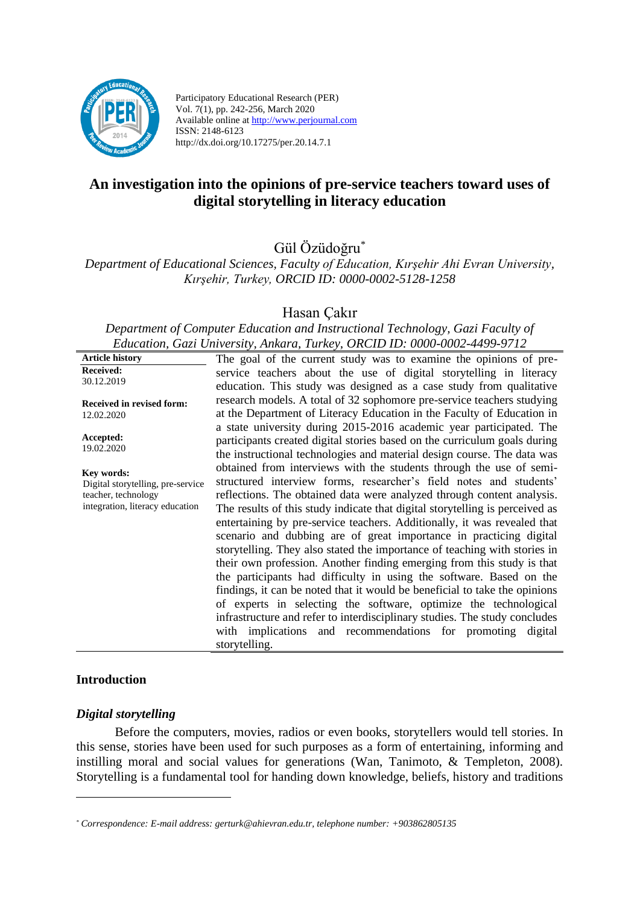

Participatory Educational Research (PER) Vol. 7(1), pp. 242-256, March 2020 Available online at http://www.perjournal.com ISSN: 2148-6123 http://dx.doi.org/10.17275/per.20.14.7.1

# **An investigation into the opinions of pre-service teachers toward uses of digital storytelling in literacy education**

Gül Özüdoğru\*

*Department of Educational Sciences, Faculty of Education, Kırşehir Ahi Evran University, Kırşehir, Turkey, ORCID ID: 0000-0002-5128-1258*

# Hasan Çakır

*Department of Computer Education and Instructional Technology, Gazi Faculty of Education, Gazi University, Ankara, Turkey, ORCID ID: 0000-0002-4499-9712*

| <b>Article history</b>                                                                                    | The goal of the current study was to examine the opinions of pre-                                                                                                                                                                                                                                                                                                                                                                                                                                                                                                                                                                                                                                                                                                                                                                                                                                                                                                                                                                                                                                                                                                                                                                  |  |
|-----------------------------------------------------------------------------------------------------------|------------------------------------------------------------------------------------------------------------------------------------------------------------------------------------------------------------------------------------------------------------------------------------------------------------------------------------------------------------------------------------------------------------------------------------------------------------------------------------------------------------------------------------------------------------------------------------------------------------------------------------------------------------------------------------------------------------------------------------------------------------------------------------------------------------------------------------------------------------------------------------------------------------------------------------------------------------------------------------------------------------------------------------------------------------------------------------------------------------------------------------------------------------------------------------------------------------------------------------|--|
| <b>Received:</b>                                                                                          | service teachers about the use of digital storytelling in literacy                                                                                                                                                                                                                                                                                                                                                                                                                                                                                                                                                                                                                                                                                                                                                                                                                                                                                                                                                                                                                                                                                                                                                                 |  |
| 30.12.2019                                                                                                | education. This study was designed as a case study from qualitative                                                                                                                                                                                                                                                                                                                                                                                                                                                                                                                                                                                                                                                                                                                                                                                                                                                                                                                                                                                                                                                                                                                                                                |  |
| <b>Received in revised form:</b><br>12.02.2020                                                            | research models. A total of 32 sophomore pre-service teachers studying<br>at the Department of Literacy Education in the Faculty of Education in                                                                                                                                                                                                                                                                                                                                                                                                                                                                                                                                                                                                                                                                                                                                                                                                                                                                                                                                                                                                                                                                                   |  |
| Accepted:<br>19.02.2020                                                                                   | a state university during 2015-2016 academic year participated. The<br>participants created digital stories based on the curriculum goals during<br>the instructional technologies and material design course. The data was<br>obtained from interviews with the students through the use of semi-<br>structured interview forms, researcher's field notes and students'<br>reflections. The obtained data were analyzed through content analysis.<br>The results of this study indicate that digital storytelling is perceived as<br>entertaining by pre-service teachers. Additionally, it was revealed that<br>scenario and dubbing are of great importance in practicing digital<br>storytelling. They also stated the importance of teaching with stories in<br>their own profession. Another finding emerging from this study is that<br>the participants had difficulty in using the software. Based on the<br>findings, it can be noted that it would be beneficial to take the opinions<br>of experts in selecting the software, optimize the technological<br>infrastructure and refer to interdisciplinary studies. The study concludes<br>with implications and recommendations for promoting digital<br>storytelling. |  |
| Key words:<br>Digital storytelling, pre-service<br>teacher, technology<br>integration, literacy education |                                                                                                                                                                                                                                                                                                                                                                                                                                                                                                                                                                                                                                                                                                                                                                                                                                                                                                                                                                                                                                                                                                                                                                                                                                    |  |

# **Introduction**

#### *Digital storytelling*

Before the computers, movies, radios or even books, storytellers would tell stories. In this sense, stories have been used for such purposes as a form of entertaining, informing and instilling moral and social values for generations (Wan, Tanimoto, & Templeton, 2008). Storytelling is a fundamental tool for handing down knowledge, beliefs, history and traditions

*<sup>\*</sup> Correspondence: E-mail address: gerturk@ahievran.edu.tr, telephone number: +903862805135*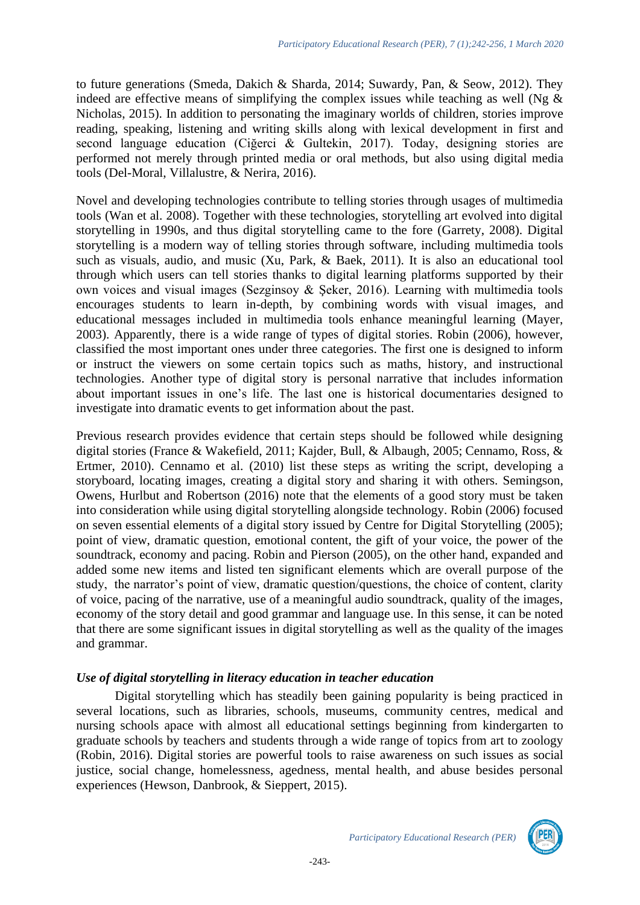to future generations (Smeda, Dakich & Sharda, 2014; Suwardy, Pan, & Seow, 2012). They indeed are effective means of simplifying the complex issues while teaching as well (Ng  $\&$ Nicholas, 2015). In addition to personating the imaginary worlds of children, stories improve reading, speaking, listening and writing skills along with lexical development in first and second language education (Ciğerci & Gultekin, 2017). Today, designing stories are performed not merely through printed media or oral methods, but also using digital media tools (Del-Moral, Villalustre, & Nerira, 2016).

Novel and developing technologies contribute to telling stories through usages of multimedia tools (Wan et al. 2008). Together with these technologies, storytelling art evolved into digital storytelling in 1990s, and thus digital storytelling came to the fore (Garrety, 2008). Digital storytelling is a modern way of telling stories through software, including multimedia tools such as visuals, audio, and music (Xu, Park, & Baek, 2011). It is also an educational tool through which users can tell stories thanks to digital learning platforms supported by their own voices and visual images (Sezginsoy & Şeker, 2016). Learning with multimedia tools encourages students to learn in-depth, by combining words with visual images, and educational messages included in multimedia tools enhance meaningful learning (Mayer, 2003). Apparently, there is a wide range of types of digital stories. Robin (2006), however, classified the most important ones under three categories. The first one is designed to inform or instruct the viewers on some certain topics such as maths, history, and instructional technologies. Another type of digital story is personal narrative that includes information about important issues in one's life. The last one is historical documentaries designed to investigate into dramatic events to get information about the past.

Previous research provides evidence that certain steps should be followed while designing digital stories (France & Wakefield, 2011; Kajder, Bull, & Albaugh, 2005; Cennamo, Ross, & Ertmer, 2010). Cennamo et al. (2010) list these steps as writing the script, developing a storyboard, locating images, creating a digital story and sharing it with others. Semingson, Owens, Hurlbut and Robertson (2016) note that the elements of a good story must be taken into consideration while using digital storytelling alongside technology. Robin (2006) focused on seven essential elements of a digital story issued by Centre for Digital Storytelling (2005); point of view, dramatic question, emotional content, the gift of your voice, the power of the soundtrack, economy and pacing. Robin and Pierson (2005), on the other hand, expanded and added some new items and listed ten significant elements which are overall purpose of the study, the narrator's point of view, dramatic question/questions, the choice of content, clarity of voice, pacing of the narrative, use of a meaningful audio soundtrack, quality of the images, economy of the story detail and good grammar and language use. In this sense, it can be noted that there are some significant issues in digital storytelling as well as the quality of the images and grammar.

# *Use of digital storytelling in literacy education in teacher education*

Digital storytelling which has steadily been gaining popularity is being practiced in several locations, such as libraries, schools, museums, community centres, medical and nursing schools apace with almost all educational settings beginning from kindergarten to graduate schools by teachers and students through a wide range of topics from art to zoology (Robin, 2016). Digital stories are powerful tools to raise awareness on such issues as social justice, social change, homelessness, agedness, mental health, and abuse besides personal experiences (Hewson, Danbrook, & Sieppert, 2015).

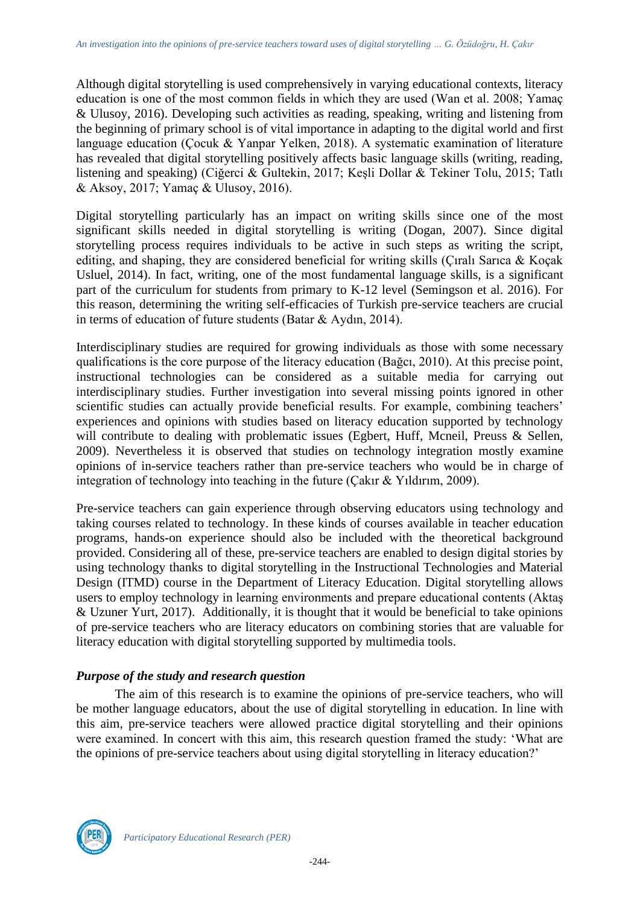Although digital storytelling is used comprehensively in varying educational contexts, literacy education is one of the most common fields in which they are used (Wan et al. 2008; Yamaç & Ulusoy, 2016). Developing such activities as reading, speaking, writing and listening from the beginning of primary school is of vital importance in adapting to the digital world and first language education (Çocuk & Yanpar Yelken, 2018). A systematic examination of literature has revealed that digital storytelling positively affects basic language skills (writing, reading, listening and speaking) (Ciğerci & Gultekin, 2017; Keşli Dollar & Tekiner Tolu, 2015; Tatlı & Aksoy, 2017; Yamaç & Ulusoy, 2016).

Digital storytelling particularly has an impact on writing skills since one of the most significant skills needed in digital storytelling is writing (Dogan, 2007). Since digital storytelling process requires individuals to be active in such steps as writing the script, editing, and shaping, they are considered beneficial for writing skills (Çıralı Sarıca & Koçak Usluel, 2014). In fact, writing, one of the most fundamental language skills, is a significant part of the curriculum for students from primary to K-12 level (Semingson et al. 2016). For this reason, determining the writing self-efficacies of Turkish pre-service teachers are crucial in terms of education of future students (Batar & Aydın, 2014).

Interdisciplinary studies are required for growing individuals as those with some necessary qualifications is the core purpose of the literacy education (Bağcı, 2010). At this precise point, instructional technologies can be considered as a suitable media for carrying out interdisciplinary studies. Further investigation into several missing points ignored in other scientific studies can actually provide beneficial results. For example, combining teachers' experiences and opinions with studies based on literacy education supported by technology will contribute to dealing with problematic issues (Egbert, Huff, Mcneil, Preuss & Sellen, 2009). Nevertheless it is observed that studies on technology integration mostly examine opinions of in-service teachers rather than pre-service teachers who would be in charge of integration of technology into teaching in the future (Çakır & Yıldırım, 2009).

Pre-service teachers can gain experience through observing educators using technology and taking courses related to technology. In these kinds of courses available in teacher education programs, hands-on experience should also be included with the theoretical background provided. Considering all of these, pre-service teachers are enabled to design digital stories by using technology thanks to digital storytelling in the Instructional Technologies and Material Design (ITMD) course in the Department of Literacy Education. Digital storytelling allows users to employ technology in learning environments and prepare educational contents (Aktaş & Uzuner Yurt, 2017). Additionally, it is thought that it would be beneficial to take opinions of pre-service teachers who are literacy educators on combining stories that are valuable for literacy education with digital storytelling supported by multimedia tools.

# *Purpose of the study and research question*

The aim of this research is to examine the opinions of pre-service teachers, who will be mother language educators, about the use of digital storytelling in education. In line with this aim, pre-service teachers were allowed practice digital storytelling and their opinions were examined. In concert with this aim, this research question framed the study: 'What are the opinions of pre-service teachers about using digital storytelling in literacy education?'

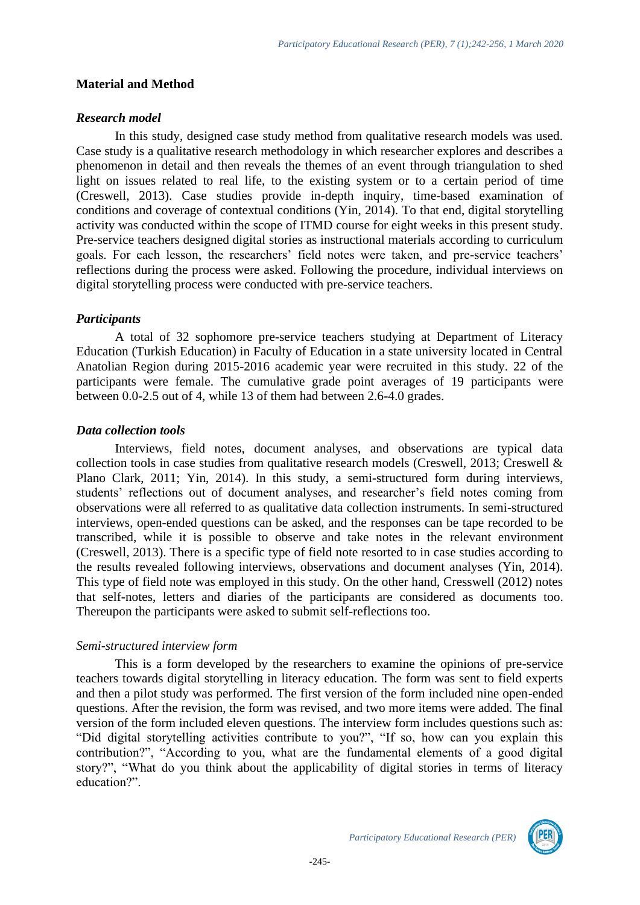#### **Material and Method**

#### *Research model*

In this study, designed case study method from qualitative research models was used. Case study is a qualitative research methodology in which researcher explores and describes a phenomenon in detail and then reveals the themes of an event through triangulation to shed light on issues related to real life, to the existing system or to a certain period of time (Creswell, 2013). Case studies provide in-depth inquiry, time-based examination of conditions and coverage of contextual conditions (Yin, 2014). To that end, digital storytelling activity was conducted within the scope of ITMD course for eight weeks in this present study. Pre-service teachers designed digital stories as instructional materials according to curriculum goals. For each lesson, the researchers' field notes were taken, and pre-service teachers' reflections during the process were asked. Following the procedure, individual interviews on digital storytelling process were conducted with pre-service teachers.

#### *Participants*

A total of 32 sophomore pre-service teachers studying at Department of Literacy Education (Turkish Education) in Faculty of Education in a state university located in Central Anatolian Region during 2015-2016 academic year were recruited in this study. 22 of the participants were female. The cumulative grade point averages of 19 participants were between 0.0-2.5 out of 4, while 13 of them had between 2.6-4.0 grades.

#### *Data collection tools*

Interviews, field notes, document analyses, and observations are typical data collection tools in case studies from qualitative research models (Creswell, 2013; Creswell & Plano Clark, 2011; Yin, 2014). In this study, a semi-structured form during interviews, students' reflections out of document analyses, and researcher's field notes coming from observations were all referred to as qualitative data collection instruments. In semi-structured interviews, open-ended questions can be asked, and the responses can be tape recorded to be transcribed, while it is possible to observe and take notes in the relevant environment (Creswell, 2013). There is a specific type of field note resorted to in case studies according to the results revealed following interviews, observations and document analyses (Yin, 2014). This type of field note was employed in this study. On the other hand, Cresswell (2012) notes that self-notes, letters and diaries of the participants are considered as documents too. Thereupon the participants were asked to submit self-reflections too.

# *Semi-structured interview form*

This is a form developed by the researchers to examine the opinions of pre-service teachers towards digital storytelling in literacy education. The form was sent to field experts and then a pilot study was performed. The first version of the form included nine open-ended questions. After the revision, the form was revised, and two more items were added. The final version of the form included eleven questions. The interview form includes questions such as: "Did digital storytelling activities contribute to you?", "If so, how can you explain this contribution?", "According to you, what are the fundamental elements of a good digital story?", "What do you think about the applicability of digital stories in terms of literacy education?".

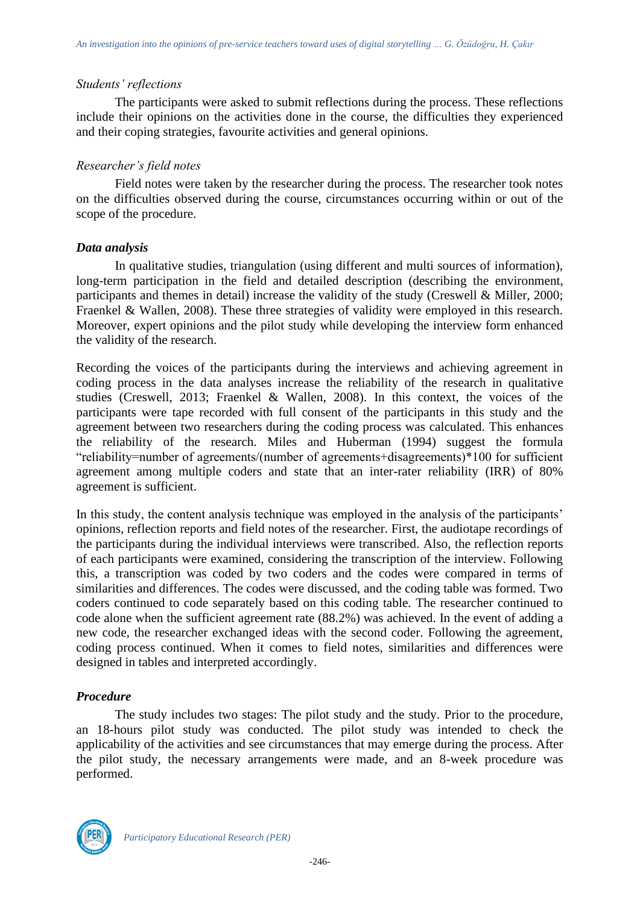#### *Students' reflections*

The participants were asked to submit reflections during the process. These reflections include their opinions on the activities done in the course, the difficulties they experienced and their coping strategies, favourite activities and general opinions.

#### *Researcher's field notes*

Field notes were taken by the researcher during the process. The researcher took notes on the difficulties observed during the course, circumstances occurring within or out of the scope of the procedure.

#### *Data analysis*

In qualitative studies, triangulation (using different and multi sources of information), long-term participation in the field and detailed description (describing the environment, participants and themes in detail) increase the validity of the study (Creswell & Miller, 2000; Fraenkel & Wallen, 2008). These three strategies of validity were employed in this research. Moreover, expert opinions and the pilot study while developing the interview form enhanced the validity of the research.

Recording the voices of the participants during the interviews and achieving agreement in coding process in the data analyses increase the reliability of the research in qualitative studies (Creswell, 2013; Fraenkel & Wallen, 2008). In this context, the voices of the participants were tape recorded with full consent of the participants in this study and the agreement between two researchers during the coding process was calculated. This enhances the reliability of the research. Miles and Huberman (1994) suggest the formula "reliability=number of agreements/(number of agreements+disagreements)\*100 for sufficient agreement among multiple coders and state that an inter-rater reliability (IRR) of 80% agreement is sufficient.

In this study, the content analysis technique was employed in the analysis of the participants' opinions, reflection reports and field notes of the researcher. First, the audiotape recordings of the participants during the individual interviews were transcribed. Also, the reflection reports of each participants were examined, considering the transcription of the interview. Following this, a transcription was coded by two coders and the codes were compared in terms of similarities and differences. The codes were discussed, and the coding table was formed. Two coders continued to code separately based on this coding table. The researcher continued to code alone when the sufficient agreement rate (88.2%) was achieved. In the event of adding a new code, the researcher exchanged ideas with the second coder. Following the agreement, coding process continued. When it comes to field notes, similarities and differences were designed in tables and interpreted accordingly.

# *Procedure*

The study includes two stages: The pilot study and the study. Prior to the procedure, an 18-hours pilot study was conducted. The pilot study was intended to check the applicability of the activities and see circumstances that may emerge during the process. After the pilot study, the necessary arrangements were made, and an 8-week procedure was performed.

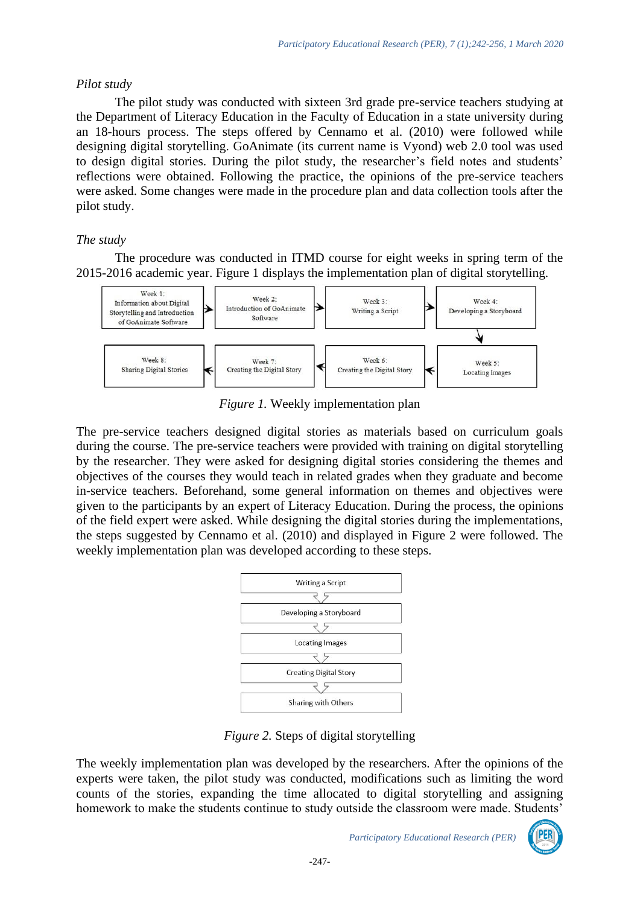# *Pilot study*

The pilot study was conducted with sixteen 3rd grade pre-service teachers studying at the Department of Literacy Education in the Faculty of Education in a state university during an 18-hours process. The steps offered by Cennamo et al. (2010) were followed while designing digital storytelling. GoAnimate (its current name is Vyond) web 2.0 tool was used to design digital stories. During the pilot study, the researcher's field notes and students' reflections were obtained. Following the practice, the opinions of the pre-service teachers were asked. Some changes were made in the procedure plan and data collection tools after the pilot study.

# *The study*

The procedure was conducted in ITMD course for eight weeks in spring term of the 2015-2016 academic year. Figure 1 displays the implementation plan of digital storytelling.



*Figure 1.* Weekly implementation plan

The pre-service teachers designed digital stories as materials based on curriculum goals during the course. The pre-service teachers were provided with training on digital storytelling by the researcher. They were asked for designing digital stories considering the themes and objectives of the courses they would teach in related grades when they graduate and become in-service teachers. Beforehand, some general information on themes and objectives were given to the participants by an expert of Literacy Education. During the process, the opinions of the field expert were asked. While designing the digital stories during the implementations, the steps suggested by Cennamo et al. (2010) and displayed in Figure 2 were followed. The weekly implementation plan was developed according to these steps.



*Figure 2.* Steps of digital storytelling

The weekly implementation plan was developed by the researchers. After the opinions of the experts were taken, the pilot study was conducted, modifications such as limiting the word counts of the stories, expanding the time allocated to digital storytelling and assigning homework to make the students continue to study outside the classroom were made. Students'

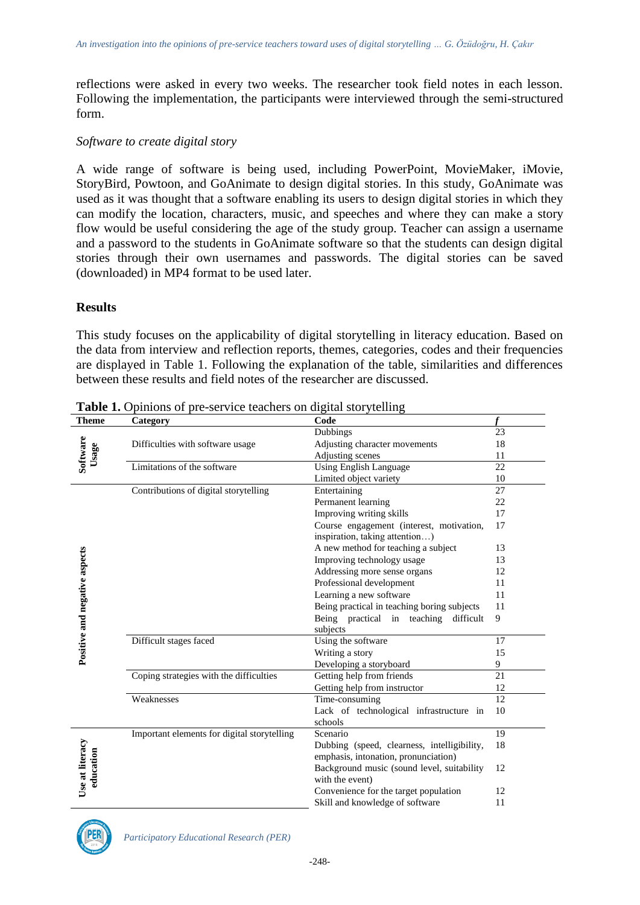reflections were asked in every two weeks. The researcher took field notes in each lesson. Following the implementation, the participants were interviewed through the semi-structured form.

#### *Software to create digital story*

A wide range of software is being used, including PowerPoint, MovieMaker, iMovie, StoryBird, Powtoon, and GoAnimate to design digital stories. In this study, GoAnimate was used as it was thought that a software enabling its users to design digital stories in which they can modify the location, characters, music, and speeches and where they can make a story flow would be useful considering the age of the study group. Teacher can assign a username and a password to the students in GoAnimate software so that the students can design digital stories through their own usernames and passwords. The digital stories can be saved (downloaded) in MP4 format to be used later.

#### **Results**

This study focuses on the applicability of digital storytelling in literacy education. Based on the data from interview and reflection reports, themes, categories, codes and their frequencies are displayed in Table 1. Following the explanation of the table, similarities and differences between these results and field notes of the researcher are discussed.

| <b>Theme</b>                  | Category                                    | Code                                        |    |
|-------------------------------|---------------------------------------------|---------------------------------------------|----|
| Software<br>Usage             |                                             | Dubbings                                    | 23 |
|                               | Difficulties with software usage            | Adjusting character movements               | 18 |
|                               |                                             | Adjusting scenes                            | 11 |
|                               | Limitations of the software                 | <b>Using English Language</b>               | 22 |
|                               |                                             | Limited object variety                      | 10 |
|                               | Contributions of digital storytelling       | Entertaining                                | 27 |
|                               |                                             | Permanent learning                          | 22 |
|                               |                                             | Improving writing skills                    | 17 |
|                               |                                             | Course engagement (interest, motivation,    | 17 |
|                               |                                             | inspiration, taking attention)              |    |
| Positive and negative aspects |                                             | A new method for teaching a subject         | 13 |
|                               |                                             | Improving technology usage                  | 13 |
|                               |                                             | Addressing more sense organs                | 12 |
|                               |                                             | Professional development                    | 11 |
|                               |                                             | Learning a new software                     | 11 |
|                               |                                             | Being practical in teaching boring subjects | 11 |
|                               |                                             | Being practical in teaching<br>difficult    | 9  |
|                               |                                             | subjects                                    |    |
|                               | Difficult stages faced                      | Using the software                          | 17 |
|                               |                                             | Writing a story                             | 15 |
|                               |                                             | Developing a storyboard                     | 9  |
|                               | Coping strategies with the difficulties     | Getting help from friends                   | 21 |
|                               |                                             | Getting help from instructor                | 12 |
|                               | Weaknesses                                  | Time-consuming                              | 12 |
|                               |                                             | Lack of technological infrastructure in     | 10 |
|                               |                                             | schools                                     |    |
|                               | Important elements for digital storytelling | Scenario                                    | 19 |
|                               |                                             | Dubbing (speed, clearness, intelligibility, | 18 |
| Use at literacy<br>education  |                                             | emphasis, intonation, pronunciation)        |    |
|                               |                                             | Background music (sound level, suitability  | 12 |
|                               |                                             | with the event)                             |    |
|                               |                                             | Convenience for the target population       | 12 |
|                               |                                             | Skill and knowledge of software             | 11 |

**Table 1.** Opinions of pre-service teachers on digital storytelling

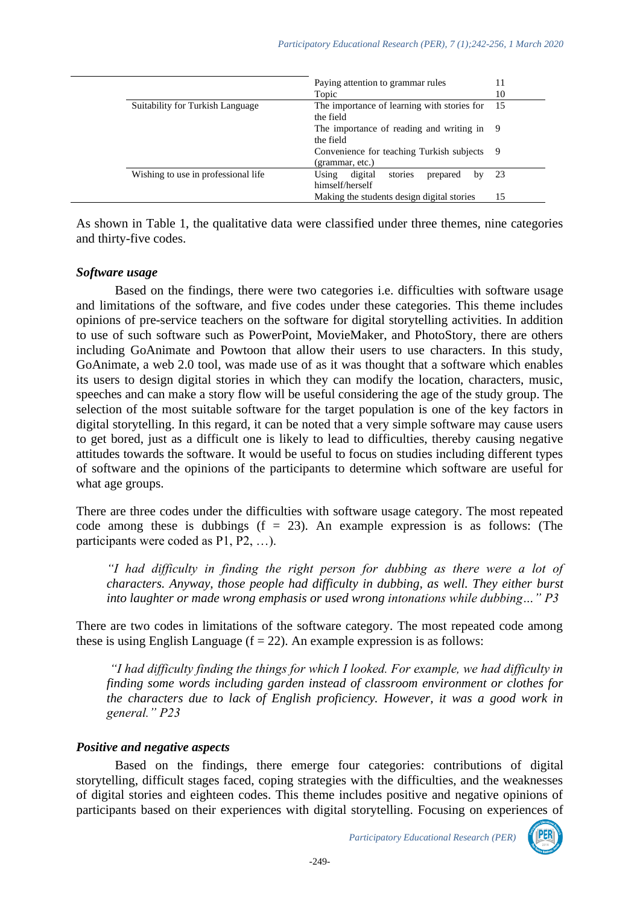|  |                                     | Paying attention to grammar rules                                | 11  |
|--|-------------------------------------|------------------------------------------------------------------|-----|
|  |                                     | Topic                                                            | 10  |
|  | Suitability for Turkish Language    | The importance of learning with stories for<br>the field         | 15  |
|  |                                     | The importance of reading and writing in 9<br>the field          |     |
|  |                                     | Convenience for teaching Turkish subjects<br>(grammar, etc.)     | 9   |
|  | Wishing to use in professional life | stories<br>Using<br>digital<br>prepared<br>by<br>himself/herself | -23 |
|  |                                     | Making the students design digital stories                       | 15  |

As shown in Table 1, the qualitative data were classified under three themes, nine categories and thirty-five codes.

#### *Software usage*

Based on the findings, there were two categories i.e. difficulties with software usage and limitations of the software, and five codes under these categories. This theme includes opinions of pre-service teachers on the software for digital storytelling activities. In addition to use of such software such as PowerPoint, MovieMaker, and PhotoStory, there are others including GoAnimate and Powtoon that allow their users to use characters. In this study, GoAnimate, a web 2.0 tool, was made use of as it was thought that a software which enables its users to design digital stories in which they can modify the location, characters, music, speeches and can make a story flow will be useful considering the age of the study group. The selection of the most suitable software for the target population is one of the key factors in digital storytelling. In this regard, it can be noted that a very simple software may cause users to get bored, just as a difficult one is likely to lead to difficulties, thereby causing negative attitudes towards the software. It would be useful to focus on studies including different types of software and the opinions of the participants to determine which software are useful for what age groups.

There are three codes under the difficulties with software usage category. The most repeated code among these is dubbings  $(f = 23)$ . An example expression is as follows: (The participants were coded as P1, P2, …).

*"I had difficulty in finding the right person for dubbing as there were a lot of characters. Anyway, those people had difficulty in dubbing, as well. They either burst into laughter or made wrong emphasis or used wrong intonations while dubbing…" P3*

There are two codes in limitations of the software category. The most repeated code among these is using English Language  $(f = 22)$ . An example expression is as follows:

*"I had difficulty finding the things for which I looked. For example, we had difficulty in finding some words including garden instead of classroom environment or clothes for the characters due to lack of English proficiency. However, it was a good work in general." P23*

#### *Positive and negative aspects*

Based on the findings, there emerge four categories: contributions of digital storytelling, difficult stages faced, coping strategies with the difficulties, and the weaknesses of digital stories and eighteen codes. This theme includes positive and negative opinions of participants based on their experiences with digital storytelling. Focusing on experiences of

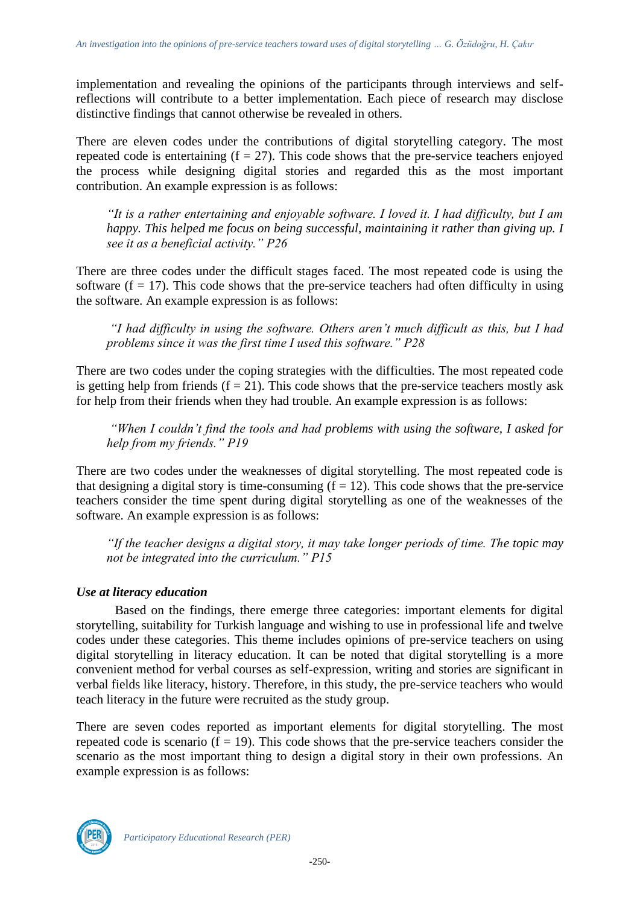implementation and revealing the opinions of the participants through interviews and selfreflections will contribute to a better implementation. Each piece of research may disclose distinctive findings that cannot otherwise be revealed in others.

There are eleven codes under the contributions of digital storytelling category. The most repeated code is entertaining  $(f = 27)$ . This code shows that the pre-service teachers enjoyed the process while designing digital stories and regarded this as the most important contribution. An example expression is as follows:

*"It is a rather entertaining and enjoyable software. I loved it. I had difficulty, but I am happy. This helped me focus on being successful, maintaining it rather than giving up. I see it as a beneficial activity." P26*

There are three codes under the difficult stages faced. The most repeated code is using the software  $(f = 17)$ . This code shows that the pre-service teachers had often difficulty in using the software. An example expression is as follows:

*"I had difficulty in using the software. Others aren't much difficult as this, but I had problems since it was the first time I used this software." P28* 

There are two codes under the coping strategies with the difficulties. The most repeated code is getting help from friends  $(f = 21)$ . This code shows that the pre-service teachers mostly ask for help from their friends when they had trouble. An example expression is as follows:

*"When I couldn't find the tools and had problems with using the software, I asked for help from my friends." P19* 

There are two codes under the weaknesses of digital storytelling. The most repeated code is that designing a digital story is time-consuming  $(f = 12)$ . This code shows that the pre-service teachers consider the time spent during digital storytelling as one of the weaknesses of the software. An example expression is as follows:

*"If the teacher designs a digital story, it may take longer periods of time. The topic may not be integrated into the curriculum." P15*

# *Use at literacy education*

Based on the findings, there emerge three categories: important elements for digital storytelling, suitability for Turkish language and wishing to use in professional life and twelve codes under these categories. This theme includes opinions of pre-service teachers on using digital storytelling in literacy education. It can be noted that digital storytelling is a more convenient method for verbal courses as self-expression, writing and stories are significant in verbal fields like literacy, history. Therefore, in this study, the pre-service teachers who would teach literacy in the future were recruited as the study group.

There are seven codes reported as important elements for digital storytelling. The most repeated code is scenario  $(f = 19)$ . This code shows that the pre-service teachers consider the scenario as the most important thing to design a digital story in their own professions. An example expression is as follows:

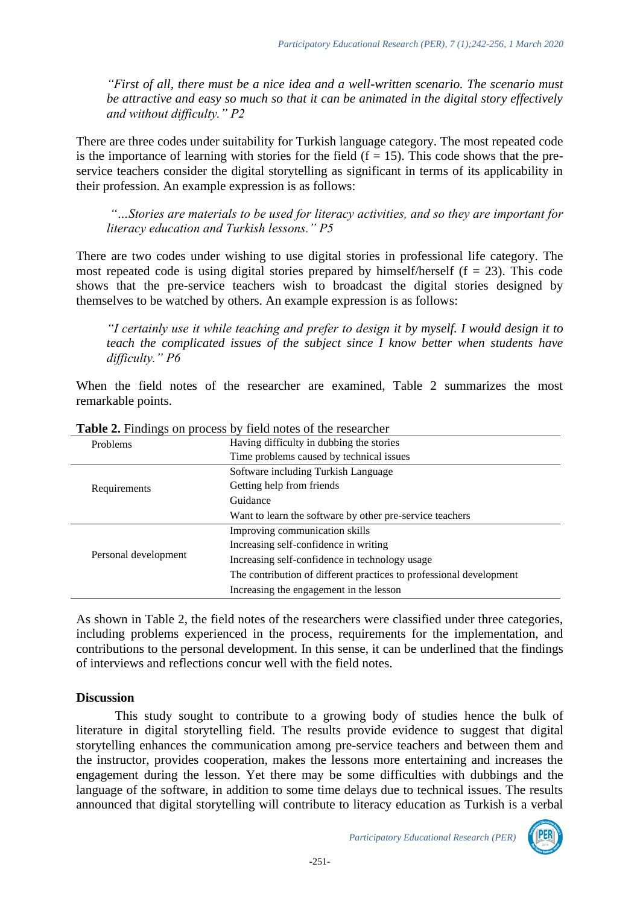*"First of all, there must be a nice idea and a well-written scenario. The scenario must be attractive and easy so much so that it can be animated in the digital story effectively and without difficulty." P2*

There are three codes under suitability for Turkish language category. The most repeated code is the importance of learning with stories for the field  $(f = 15)$ . This code shows that the preservice teachers consider the digital storytelling as significant in terms of its applicability in their profession. An example expression is as follows:

*"…Stories are materials to be used for literacy activities, and so they are important for literacy education and Turkish lessons." P5*

There are two codes under wishing to use digital stories in professional life category. The most repeated code is using digital stories prepared by himself/herself  $(f = 23)$ . This code shows that the pre-service teachers wish to broadcast the digital stories designed by themselves to be watched by others. An example expression is as follows:

*"I certainly use it while teaching and prefer to design it by myself. I would design it to teach the complicated issues of the subject since I know better when students have difficulty." P6*

When the field notes of the researcher are examined, Table 2 summarizes the most remarkable points.

| $\sim$ which is a meaning on process of<br>hold hotes of the researcher |                                                                     |  |
|-------------------------------------------------------------------------|---------------------------------------------------------------------|--|
| <b>Problems</b>                                                         | Having difficulty in dubbing the stories                            |  |
|                                                                         | Time problems caused by technical issues                            |  |
|                                                                         | Software including Turkish Language                                 |  |
| Requirements                                                            | Getting help from friends                                           |  |
|                                                                         | Guidance                                                            |  |
|                                                                         | Want to learn the software by other pre-service teachers            |  |
|                                                                         | Improving communication skills                                      |  |
|                                                                         | Increasing self-confidence in writing                               |  |
| Personal development                                                    | Increasing self-confidence in technology usage                      |  |
|                                                                         | The contribution of different practices to professional development |  |
|                                                                         | Increasing the engagement in the lesson                             |  |

**Table 2.** Findings on process by field notes of the researcher

As shown in Table 2, the field notes of the researchers were classified under three categories, including problems experienced in the process, requirements for the implementation, and contributions to the personal development. In this sense, it can be underlined that the findings of interviews and reflections concur well with the field notes.

# **Discussion**

This study sought to contribute to a growing body of studies hence the bulk of literature in digital storytelling field. The results provide evidence to suggest that digital storytelling enhances the communication among pre-service teachers and between them and the instructor, provides cooperation, makes the lessons more entertaining and increases the engagement during the lesson. Yet there may be some difficulties with dubbings and the language of the software, in addition to some time delays due to technical issues. The results announced that digital storytelling will contribute to literacy education as Turkish is a verbal

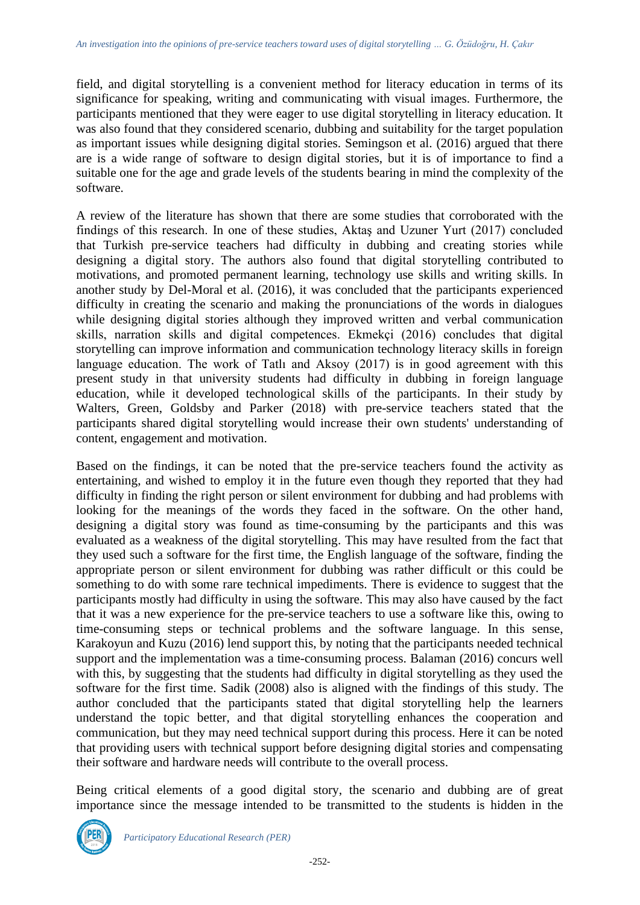field, and digital storytelling is a convenient method for literacy education in terms of its significance for speaking, writing and communicating with visual images. Furthermore, the participants mentioned that they were eager to use digital storytelling in literacy education. It was also found that they considered scenario, dubbing and suitability for the target population as important issues while designing digital stories. Semingson et al. (2016) argued that there are is a wide range of software to design digital stories, but it is of importance to find a suitable one for the age and grade levels of the students bearing in mind the complexity of the software.

A review of the literature has shown that there are some studies that corroborated with the findings of this research. In one of these studies, Aktaş and Uzuner Yurt (2017) concluded that Turkish pre-service teachers had difficulty in dubbing and creating stories while designing a digital story. The authors also found that digital storytelling contributed to motivations, and promoted permanent learning, technology use skills and writing skills. In another study by Del-Moral et al. (2016), it was concluded that the participants experienced difficulty in creating the scenario and making the pronunciations of the words in dialogues while designing digital stories although they improved written and verbal communication skills, narration skills and digital competences. Ekmekçi (2016) concludes that digital storytelling can improve information and communication technology literacy skills in foreign language education. The work of Tatli and Aksoy (2017) is in good agreement with this present study in that university students had difficulty in dubbing in foreign language education, while it developed technological skills of the participants. In their study by Walters, Green, Goldsby and Parker (2018) with pre-service teachers stated that the participants shared digital storytelling would increase their own students' understanding of content, engagement and motivation.

Based on the findings, it can be noted that the pre-service teachers found the activity as entertaining, and wished to employ it in the future even though they reported that they had difficulty in finding the right person or silent environment for dubbing and had problems with looking for the meanings of the words they faced in the software. On the other hand, designing a digital story was found as time-consuming by the participants and this was evaluated as a weakness of the digital storytelling. This may have resulted from the fact that they used such a software for the first time, the English language of the software, finding the appropriate person or silent environment for dubbing was rather difficult or this could be something to do with some rare technical impediments. There is evidence to suggest that the participants mostly had difficulty in using the software. This may also have caused by the fact that it was a new experience for the pre-service teachers to use a software like this, owing to time-consuming steps or technical problems and the software language. In this sense, Karakoyun and Kuzu (2016) lend support this, by noting that the participants needed technical support and the implementation was a time-consuming process. Balaman (2016) concurs well with this, by suggesting that the students had difficulty in digital storytelling as they used the software for the first time. Sadik (2008) also is aligned with the findings of this study. The author concluded that the participants stated that digital storytelling help the learners understand the topic better, and that digital storytelling enhances the cooperation and communication, but they may need technical support during this process. Here it can be noted that providing users with technical support before designing digital stories and compensating their software and hardware needs will contribute to the overall process.

Being critical elements of a good digital story, the scenario and dubbing are of great importance since the message intended to be transmitted to the students is hidden in the

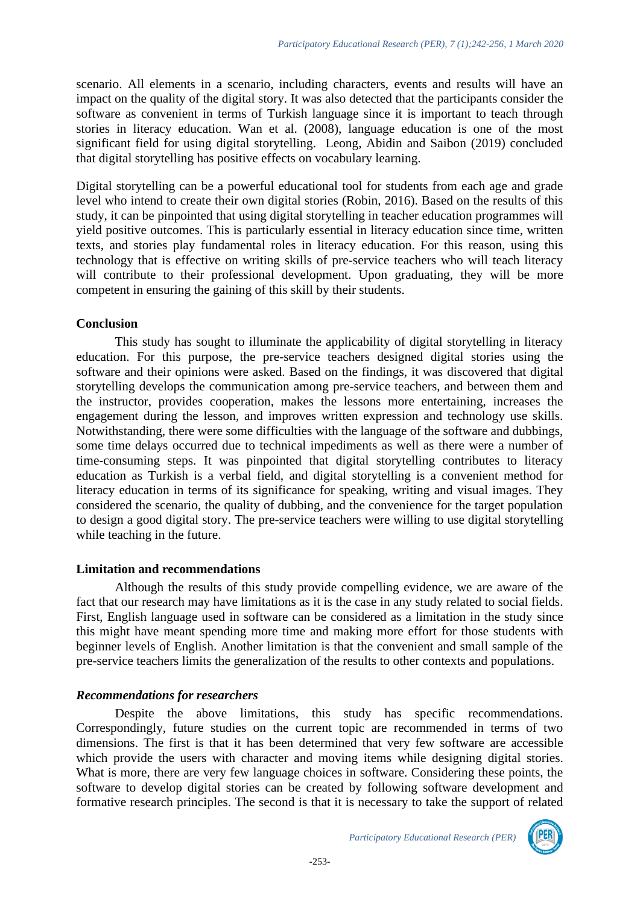scenario. All elements in a scenario, including characters, events and results will have an impact on the quality of the digital story. It was also detected that the participants consider the software as convenient in terms of Turkish language since it is important to teach through stories in literacy education. Wan et al. (2008), language education is one of the most significant field for using digital storytelling. Leong, Abidin and Saibon (2019) concluded that digital storytelling has positive effects on vocabulary learning.

Digital storytelling can be a powerful educational tool for students from each age and grade level who intend to create their own digital stories (Robin, 2016). Based on the results of this study, it can be pinpointed that using digital storytelling in teacher education programmes will yield positive outcomes. This is particularly essential in literacy education since time, written texts, and stories play fundamental roles in literacy education. For this reason, using this technology that is effective on writing skills of pre-service teachers who will teach literacy will contribute to their professional development. Upon graduating, they will be more competent in ensuring the gaining of this skill by their students.

#### **Conclusion**

This study has sought to illuminate the applicability of digital storytelling in literacy education. For this purpose, the pre-service teachers designed digital stories using the software and their opinions were asked. Based on the findings, it was discovered that digital storytelling develops the communication among pre-service teachers, and between them and the instructor, provides cooperation, makes the lessons more entertaining, increases the engagement during the lesson, and improves written expression and technology use skills. Notwithstanding, there were some difficulties with the language of the software and dubbings, some time delays occurred due to technical impediments as well as there were a number of time-consuming steps. It was pinpointed that digital storytelling contributes to literacy education as Turkish is a verbal field, and digital storytelling is a convenient method for literacy education in terms of its significance for speaking, writing and visual images. They considered the scenario, the quality of dubbing, and the convenience for the target population to design a good digital story. The pre-service teachers were willing to use digital storytelling while teaching in the future.

# **Limitation and recommendations**

Although the results of this study provide compelling evidence, we are aware of the fact that our research may have limitations as it is the case in any study related to social fields. First, English language used in software can be considered as a limitation in the study since this might have meant spending more time and making more effort for those students with beginner levels of English. Another limitation is that the convenient and small sample of the pre-service teachers limits the generalization of the results to other contexts and populations.

# *Recommendations for researchers*

Despite the above limitations, this study has specific recommendations. Correspondingly, future studies on the current topic are recommended in terms of two dimensions. The first is that it has been determined that very few software are accessible which provide the users with character and moving items while designing digital stories. What is more, there are very few language choices in software. Considering these points, the software to develop digital stories can be created by following software development and formative research principles. The second is that it is necessary to take the support of related

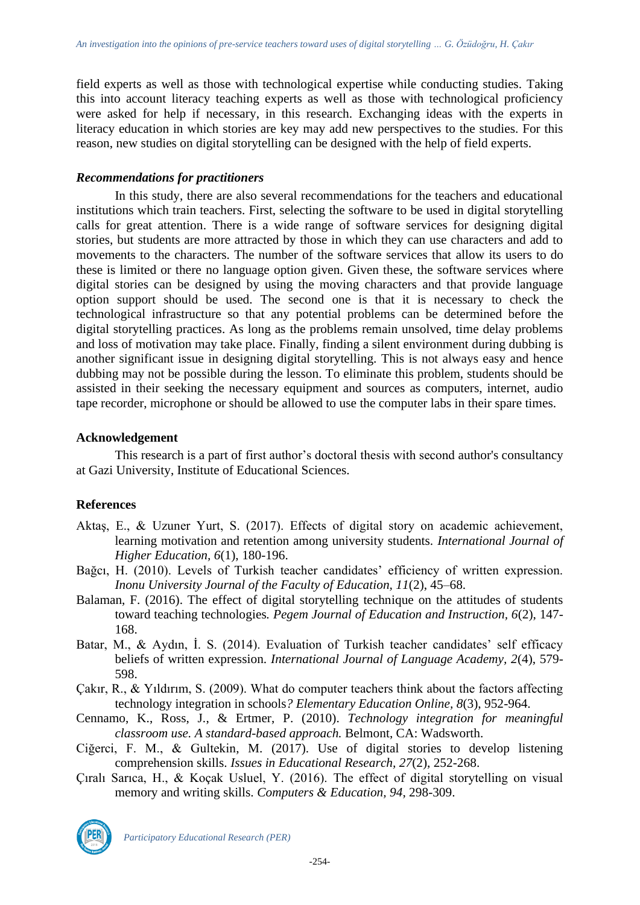field experts as well as those with technological expertise while conducting studies. Taking this into account literacy teaching experts as well as those with technological proficiency were asked for help if necessary, in this research. Exchanging ideas with the experts in literacy education in which stories are key may add new perspectives to the studies. For this reason, new studies on digital storytelling can be designed with the help of field experts.

#### *Recommendations for practitioners*

In this study, there are also several recommendations for the teachers and educational institutions which train teachers. First, selecting the software to be used in digital storytelling calls for great attention. There is a wide range of software services for designing digital stories, but students are more attracted by those in which they can use characters and add to movements to the characters. The number of the software services that allow its users to do these is limited or there no language option given. Given these, the software services where digital stories can be designed by using the moving characters and that provide language option support should be used. The second one is that it is necessary to check the technological infrastructure so that any potential problems can be determined before the digital storytelling practices. As long as the problems remain unsolved, time delay problems and loss of motivation may take place. Finally, finding a silent environment during dubbing is another significant issue in designing digital storytelling. This is not always easy and hence dubbing may not be possible during the lesson. To eliminate this problem, students should be assisted in their seeking the necessary equipment and sources as computers, internet, audio tape recorder, microphone or should be allowed to use the computer labs in their spare times.

# **Acknowledgement**

This research is a part of first author's doctoral thesis with second author's consultancy at Gazi University, Institute of Educational Sciences.

# **References**

- Aktaş, E., & Uzuner Yurt, S. (2017). Effects of digital story on academic achievement, learning motivation and retention among university students. *International Journal of Higher Education, 6*(1), 180-196.
- Bağcı, H. (2010). Levels of Turkish teacher candidates' efficiency of written expression. *Inonu University Journal of the Faculty of Education, 11*(2), 45–68.
- Balaman, F. (2016). The effect of digital storytelling technique on the attitudes of students toward teaching technologies*. Pegem Journal of Education and Instruction, 6*(2), 147- 168.
- Batar, M., & Aydın, İ. S. (2014). Evaluation of Turkish teacher candidates' self efficacy beliefs of written expression. *International Journal of Language Academy, 2*(4), 579- 598.
- Çakır, R., & Yıldırım, S. (2009). What do computer teachers think about the factors affecting technology integration in schools*? Elementary Education Online, 8*(3), 952-964.
- Cennamo, K., Ross, J., & Ertmer, P. (2010). *Technology integration for meaningful classroom use. A standard-based approach.* Belmont, CA: Wadsworth.
- Ciğerci, F. M., & Gultekin, M. (2017). Use of digital stories to develop listening comprehension skills. *Issues in Educational Research, 27*(2), 252-268.
- Çıralı Sarıca, H., & Koçak Usluel, Y. (2016). The effect of digital storytelling on visual memory and writing skills. *Computers & Education, 94*, 298-309.



*Participatory Educational Research (PER)*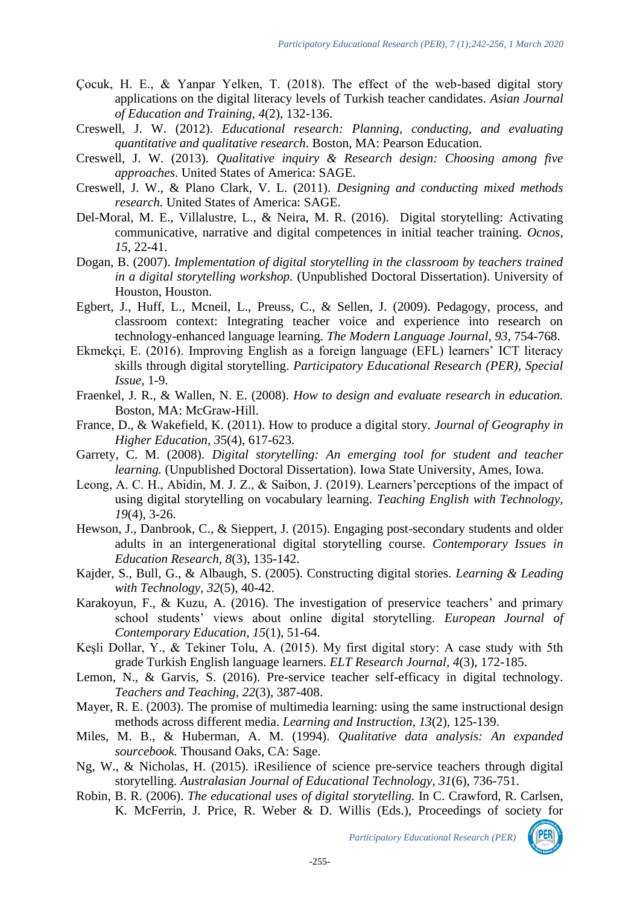- Çocuk, H. E., & Yanpar Yelken, T. (2018). The effect of the web-based digital story applications on the digital literacy levels of Turkish teacher candidates. *Asian Journal of Education and Training, 4*(2), 132-136.
- Creswell, J. W. (2012). *Educational research: Planning, conducting, and evaluating quantitative and qualitative research*. Boston, MA: Pearson Education.
- Creswell, J. W. (2013). *Qualitative inquiry & Research design: Choosing among five approaches*. United States of America: SAGE.
- Creswell, J. W., & Plano Clark, V. L. (2011). *Designing and conducting mixed methods research.* United States of America: SAGE.
- Del-Moral, M. E., Villalustre, L., & Neira, M. R. (2016). Digital storytelling: Activating communicative, narrative and digital competences in initial teacher training. *Ocnos, 15*, 22-41.
- Dogan, B. (2007). *Implementation of digital storytelling in the classroom by teachers trained in a digital storytelling workshop.* (Unpublished Doctoral Dissertation). University of Houston, Houston.
- Egbert, J., Huff, L., Mcneil, L., Preuss, C., & Sellen, J. (2009). Pedagogy, process, and classroom context: Integrating teacher voice and experience into research on technology-enhanced language learning. *The Modern Language Journal, 93*, 754-768.
- Ekmekçi, E. (2016). Improving English as a foreign language (EFL) learners' ICT literacy skills through digital storytelling. *Participatory Educational Research (PER), Special Issue,* 1-9.
- Fraenkel, J. R., & Wallen, N. E. (2008). *How to design and evaluate research in education.*  Boston, MA: McGraw-Hill.
- France, D., & Wakefield, K. (2011). How to produce a digital story. *Journal of Geography in Higher Education, 3*5(4), 617-623.
- Garrety, C. M. (2008). *Digital storytelling: An emerging tool for student and teacher learning.* (Unpublished Doctoral Dissertation). Iowa State University, Ames, Iowa.
- Leong, A. C. H., Abidin, M. J. Z., & Saibon, J. (2019). Learners'perceptions of the impact of using digital storytelling on vocabulary learning. *Teaching English with Technology, 19*(4), 3-26.
- Hewson, J., Danbrook, C., & Sieppert, J. (2015). Engaging post-secondary students and older adults in an intergenerational digital storytelling course. *Contemporary Issues in Education Research, 8*(3), 135-142.
- Kajder, S., Bull, G., & Albaugh, S. (2005). Constructing digital stories. *Learning & Leading with Technology, 32*(5), 40-42.
- Karakoyun, F., & Kuzu, A. (2016). The investigation of preservice teachers' and primary school students' views about online digital storytelling. *European Journal of Contemporary Education, 15*(1), 51-64.
- Keşli Dollar, Y., & Tekiner Tolu, A. (2015). My first digital story: A case study with 5th grade Turkish English language learners. *ELT Research Journal, 4*(3), 172-185.
- Lemon, N., & Garvis, S. (2016). Pre-service teacher self-efficacy in digital technology. *Teachers and Teaching, 22*(3), 387-408.
- Mayer, R. E. (2003). The promise of multimedia learning: using the same instructional design methods across different media. *Learning and Instruction, 13*(2), 125-139.
- Miles, M. B., & Huberman, A. M. (1994). *Qualitative data analysis: An expanded sourcebook.* Thousand Oaks, CA: Sage.
- Ng, W., & Nicholas, H. (2015). iResilience of science pre-service teachers through digital storytelling. *Australasian Journal of Educational Technology, 31*(6), 736-751.
- Robin, B. R. (2006). *The educational uses of digital storytelling.* In C. Crawford, R. Carlsen, K. McFerrin, J. Price, R. Weber & D. Willis (Eds.), Proceedings of society for